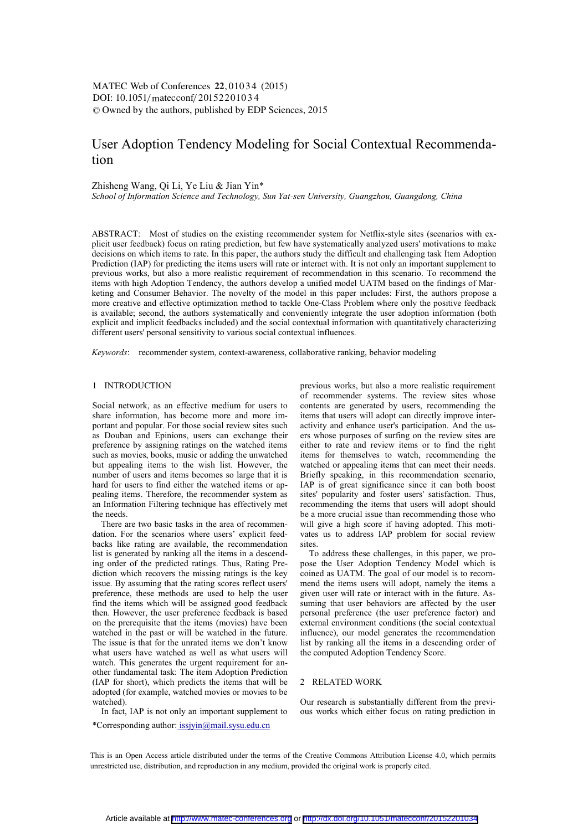DOI:  $10.1051/\text{mateconf}/20152201034$ -<sup>C</sup> Owned by the authors, published by EDP Sciences, 2015 MATEC Web of Conferences 22, 01034 (2015)

# User Adoption Tendency Modeling for Social Contextual Recommendation

# Zhisheng Wang, Qi Li, Ye Liu & Jian Yin\*

*School of Information Science and Technology, Sun Yat-sen University, Guangzhou, Guangdong, China* 

ABSTRACT: Most of studies on the existing recommender system for Netflix-style sites (scenarios with explicit user feedback) focus on rating prediction, but few have systematically analyzed users' motivations to make decisions on which items to rate. In this paper, the authors study the difficult and challenging task Item Adoption Prediction (IAP) for predicting the items users will rate or interact with. It is not only an important supplement to previous works, but also a more realistic requirement of recommendation in this scenario. To recommend the items with high Adoption Tendency, the authors develop a unified model UATM based on the findings of Marketing and Consumer Behavior. The novelty of the model in this paper includes: First, the authors propose a more creative and effective optimization method to tackle One-Class Problem where only the positive feedback is available; second, the authors systematically and conveniently integrate the user adoption information (both explicit and implicit feedbacks included) and the social contextual information with quantitatively characterizing different users' personal sensitivity to various social contextual influences.

*Keywords*: recommender system, context-awareness, collaborative ranking, behavior modeling

# 1 INTRODUCTION

Social network, as an effective medium for users to share information, has become more and more important and popular. For those social review sites such as Douban and Epinions, users can exchange their preference by assigning ratings on the watched items such as movies, books, music or adding the unwatched but appealing items to the wish list. However, the number of users and items becomes so large that it is hard for users to find either the watched items or appealing items. Therefore, the recommender system as an Information Filtering technique has effectively met the needs.

There are two basic tasks in the area of recommendation. For the scenarios where users' explicit feedbacks like rating are available, the recommendation list is generated by ranking all the items in a descending order of the predicted ratings. Thus, Rating Prediction which recovers the missing ratings is the key issue. By assuming that the rating scores reflect users' preference, these methods are used to help the user find the items which will be assigned good feedback then. However, the user preference feedback is based on the prerequisite that the items (movies) have been watched in the past or will be watched in the future. The issue is that for the unrated items we don't know what users have watched as well as what users will watch. This generates the urgent requirement for another fundamental task: The item Adoption Prediction (IAP for short), which predicts the items that will be adopted (for example, watched movies or movies to be watched).

\*Corresponding author: issjyin@mail.sysu.edu.cn In fact, IAP is not only an important supplement to previous works, but also a more realistic requirement of recommender systems. The review sites whose contents are generated by users, recommending the items that users will adopt can directly improve interactivity and enhance user's participation. And the users whose purposes of surfing on the review sites are either to rate and review items or to find the right items for themselves to watch, recommending the watched or appealing items that can meet their needs. Briefly speaking, in this recommendation scenario, IAP is of great significance since it can both boost sites' popularity and foster users' satisfaction. Thus, recommending the items that users will adopt should be a more crucial issue than recommending those who will give a high score if having adopted. This motivates us to address IAP problem for social review sites.

To address these challenges, in this paper, we propose the User Adoption Tendency Model which is coined as UATM. The goal of our model is to recommend the items users will adopt, namely the items a given user will rate or interact with in the future. Assuming that user behaviors are affected by the user personal preference (the user preference factor) and external environment conditions (the social contextual influence), our model generates the recommendation list by ranking all the items in a descending order of the computed Adoption Tendency Score.

## 2 RELATED WORK

Our research is substantially different from the previous works which either focus on rating prediction in

This is an Open Access article distributed under the terms of the Creative Commons Attribution License 4.0, which permits unrestricted use, distribution, and reproduction in any medium, provided the original work is properly cited.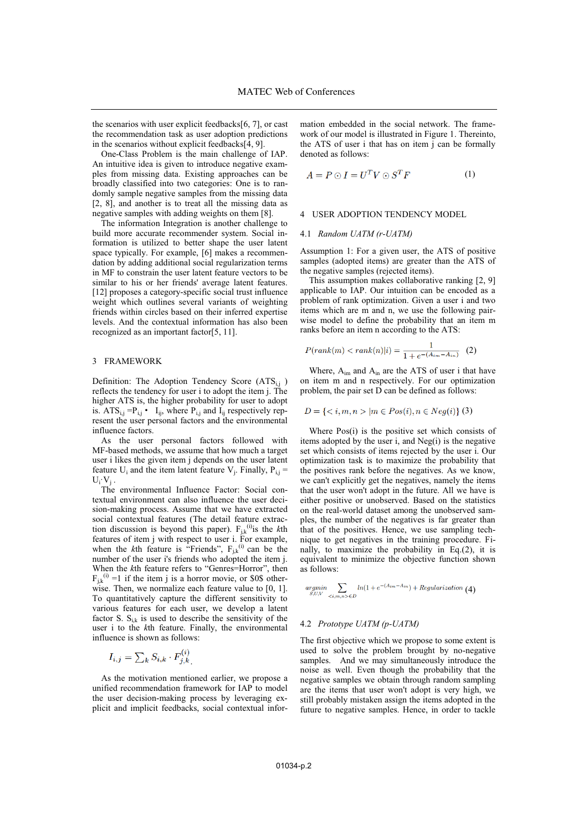the scenarios with user explicit feedbacks[6, 7], or cast the recommendation task as user adoption predictions in the scenarios without explicit feedbacks[4, 9].

One-Class Problem is the main challenge of IAP. An intuitive idea is given to introduce negative examples from missing data. Existing approaches can be broadly classified into two categories: One is to randomly sample negative samples from the missing data [2, 8], and another is to treat all the missing data as negative samples with adding weights on them [8].

The information Integration is another challenge to build more accurate recommender system. Social information is utilized to better shape the user latent space typically. For example, [6] makes a recommendation by adding additional social regularization terms in MF to constrain the user latent feature vectors to be similar to his or her friends' average latent features. [12] proposes a category-specific social trust influence weight which outlines several variants of weighting friends within circles based on their inferred expertise levels. And the contextual information has also been recognized as an important factor[5, 11].

## 3 FRAMEWORK

Definition: The Adoption Tendency Score  $(ATS_{i,j})$ reflects the tendency for user i to adopt the item j. The higher ATS is, the higher probability for user to adopt is.  $ATS_{i,j} = P_{i,j}$  I<sub>ij</sub>, where  $P_{i,j}$  and  $I_{ij}$  respectively represent the user personal factors and the environmental influence factors.

As the user personal factors followed with MF-based methods, we assume that how much a target user i likes the given item j depends on the user latent feature  $U_i$  and the item latent feature  $V_j$ . Finally,  $P_{i,j}$  =  $U_i \cdot V_j$ .

The environmental Influence Factor: Social contextual environment can also influence the user decision-making process. Assume that we have extracted social contextual features (The detail feature extraction discussion is beyond this paper).  $F_{jk}^{(i)}$  is the *k*th features of item j with respect to user i. For example, when the *k*th feature is "Friends",  $F_{jk}^{(i)}$  can be the number of the user i's friends who adopted the item j. When the *k*th feature refers to "Genres=Horror", then  $F_{j,k}^{(i)} = 1$  if the item j is a horror movie, or \$0\$ otherwise. Then, we normalize each feature value to [0, 1]. To quantitatively capture the different sensitivity to various features for each user, we develop a latent factor S.  $S_{ik}$  is used to describe the sensitivity of the user i to the *k*th feature. Finally, the environmental influence is shown as follows:

$$
I_{i,j} = \sum_{k} S_{i,k} \cdot F_{j,k}^{(i)}
$$

As the motivation mentioned earlier, we propose a unified recommendation framework for IAP to model the user decision-making process by leveraging explicit and implicit feedbacks, social contextual information embedded in the social network. The framework of our model is illustrated in Figure 1. Thereinto, the ATS of user i that has on item j can be formally denoted as follows:

$$
A = P \odot I = U^T V \odot S^T F \tag{1}
$$

## 4 USER ADOPTION TENDENCY MODEL

#### 4.1 *Random UATM (r-UATM)*

Assumption 1: For a given user, the ATS of positive samples (adopted items) are greater than the ATS of the negative samples (rejected items).

This assumption makes collaborative ranking [2, 9] applicable to IAP. Our intuition can be encoded as a problem of rank optimization. Given a user i and two items which are m and n, we use the following pairwise model to define the probability that an item m ranks before an item n according to the ATS:

$$
P(rank(m) < rank(n)|i) = \frac{1}{1 + e^{-(A_{im} - A_{in})}} \quad (2)
$$

Where,  $A_{im}$  and  $A_{in}$  are the ATS of user i that have on item m and n respectively. For our optimization problem, the pair set D can be defined as follows:

$$
D = \{ \langle i, m, n \rangle | m \in Pos(i), n \in Neg(i) \} (3)
$$

Where Pos(i) is the positive set which consists of items adopted by the user i, and Neg(i) is the negative set which consists of items rejected by the user i. Our optimization task is to maximize the probability that the positives rank before the negatives. As we know, we can't explicitly get the negatives, namely the items that the user won't adopt in the future. All we have is either positive or unobserved. Based on the statistics on the real-world dataset among the unobserved samples, the number of the negatives is far greater than that of the positives. Hence, we use sampling technique to get negatives in the training procedure. Finally, to maximize the probability in Eq.(2), it is equivalent to minimize the objective function shown as follows:

$$
\underset{S,U,V}{argmin} \sum_{ \in D} ln(1 + e^{-(A_{im} - A_{in})} + Regularization (4))
$$

# 4.2 *Prototype UATM (p-UATM)*

The first objective which we propose to some extent is used to solve the problem brought by no-negative samples. And we may simultaneously introduce the noise as well. Even though the probability that the negative samples we obtain through random sampling are the items that user won't adopt is very high, we still probably mistaken assign the items adopted in the future to negative samples. Hence, in order to tackle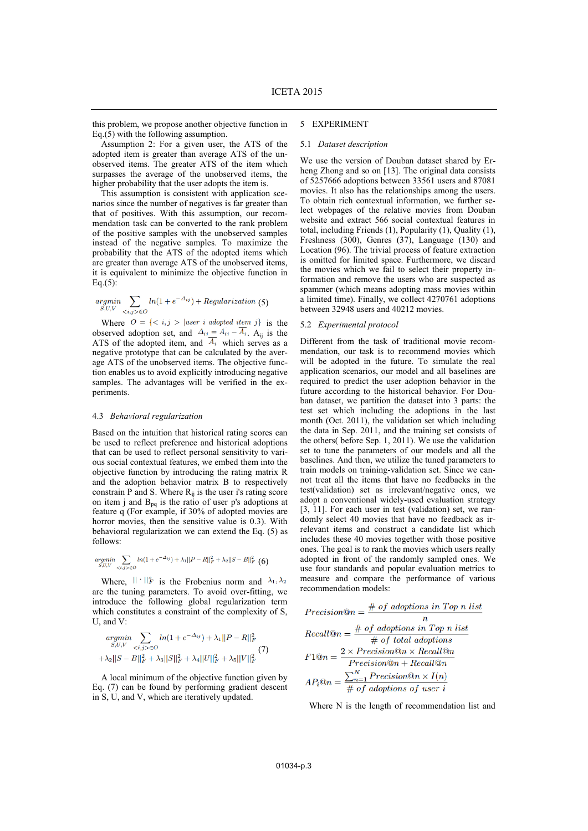this problem, we propose another objective function in Eq.(5) with the following assumption.

Assumption 2: For a given user, the ATS of the adopted item is greater than average ATS of the unobserved items. The greater ATS of the item which surpasses the average of the unobserved items, the higher probability that the user adopts the item is.

This assumption is consistent with application scenarios since the number of negatives is far greater than that of positives. With this assumption, our recommendation task can be converted to the rank problem of the positive samples with the unobserved samples instead of the negative samples. To maximize the probability that the ATS of the adopted items which are greater than average ATS of the unobserved items, it is equivalent to minimize the objective function in Eq. $(5)$ :

$$
\underset{S,U,V}{argmin} \sum_{ \in O} ln(1 + e^{-\Delta_{ij}}) + \text{Regularization (5)}
$$

Where  $O = \{ \langle i, j \rangle | user \text{ is adopted item } j \}$  is the observed adoption set, and  $\Delta_{ij} = A_{ij} - A_i$ . A<sub>ij</sub> is the ATS of the adopted item, and  $A_i$  which serves as a negative prototype that can be calculated by the average ATS of the unobserved items. The objective function enables us to avoid explicitly introducing negative samples. The advantages will be verified in the experiments.

## 4.3 *Behavioral regularization*

Based on the intuition that historical rating scores can be used to reflect preference and historical adoptions that can be used to reflect personal sensitivity to various social contextual features, we embed them into the objective function by introducing the rating matrix R and the adoption behavior matrix B to respectively constrain P and S. Where  $R_{ij}$  is the user i's rating score on item j and  $B_{pq}$  is the ratio of user p's adoptions at feature q (For example, if 30% of adopted movies are horror movies, then the sensitive value is 0.3). With behavioral regularization we can extend the Eq. (5) as follows:

$$
\underset{S,U,V}{argmin} \sum_{ \in O} \ln(1 + e^{-\Delta_{ij}}) + \lambda_1 ||P - R||_F^2 + \lambda_2 ||S - B||_F^2 \tag{6}
$$

Where,  $\|\cdot\|_F^2$  is the Frobenius norm and  $\lambda_1, \lambda_2$ are the tuning parameters. To avoid over-fitting, we introduce the following global regularization term which constitutes a constraint of the complexity of S, U, and V:

$$
\underset{S,U,V}{argmin} \sum_{ \in O} \frac{\ln(1 + e^{-\Delta_{ij}}) + \lambda_1 ||P - R||_F^2}{\sum_{i,j=1}^n |S - B||_F^2 + \lambda_3||S||_F^2 + \lambda_4 ||U||_F^2 + \lambda_5 ||V||_F^2}
$$
(7)

A local minimum of the objective function given by Eq. (7) can be found by performing gradient descent in S, U, and V, which are iteratively updated.

# 5 EXPERIMENT

# 5.1 *Dataset description*

We use the version of Douban dataset shared by Erheng Zhong and so on [13]. The original data consists of 5257666 adoptions between 33561 users and 87081 movies. It also has the relationships among the users. To obtain rich contextual information, we further select webpages of the relative movies from Douban website and extract 566 social contextual features in total, including Friends (1), Popularity (1), Quality (1), Freshness (300), Genres (37), Language (130) and Location (96). The trivial process of feature extraction is omitted for limited space. Furthermore, we discard the movies which we fail to select their property information and remove the users who are suspected as spammer (which means adopting mass movies within a limited time). Finally, we collect 4270761 adoptions between 32948 users and 40212 movies.

#### 5.2 *Experimental protocol*

Different from the task of traditional movie recommendation, our task is to recommend movies which will be adopted in the future. To simulate the real application scenarios, our model and all baselines are required to predict the user adoption behavior in the future according to the historical behavior. For Douban dataset, we partition the dataset into 3 parts: the test set which including the adoptions in the last month (Oct. 2011), the validation set which including the data in Sep. 2011, and the training set consists of the others( before Sep. 1, 2011). We use the validation set to tune the parameters of our models and all the baselines. And then, we utilize the tuned parameters to train models on training-validation set. Since we cannot treat all the items that have no feedbacks in the test(validation) set as irrelevant/negative ones, we adopt a conventional widely-used evaluation strategy [3, 11]. For each user in test (validation) set, we randomly select 40 movies that have no feedback as irrelevant items and construct a candidate list which includes these 40 movies together with those positive ones. The goal is to rank the movies which users really adopted in front of the randomly sampled ones. We use four standards and popular evaluation metrics to measure and compare the performance of various recommendation models:

$$
Precision@n = \frac{\# \ of \ adoptions \ in \ Top \ n \ list}{n}
$$

$$
Recall@n = \frac{\# \ of \ adoptions \ in \ Top \ n \ list}{\# \ of \ total \ adoptions}
$$

$$
F1@n = \frac{2 \times Precision@n \times Recall@n}{Precision@n + Recall@n}
$$

$$
AP_i@n = \frac{\sum_{n=1}^{N} Precision@n \times I(n)}{\# \ of \ adoptions \ of \ user \ i}
$$

Where N is the length of recommendation list and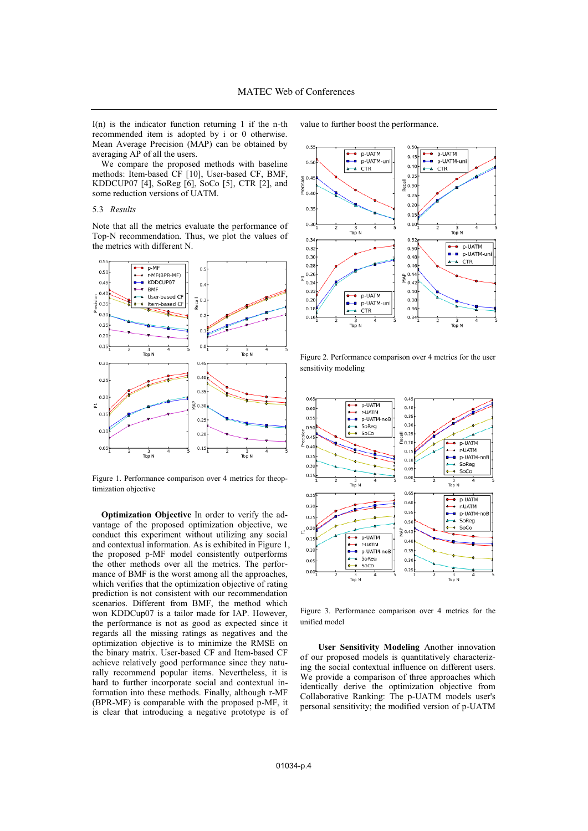$I(n)$  is the indicator function returning 1 if the n-th recommended item is adopted by i or 0 otherwise. Mean Average Precision (MAP) can be obtained by averaging AP of all the users.

We compare the proposed methods with baseline methods: Item-based CF [10], User-based CF, BMF, KDDCUP07 [4], SoReg [6], SoCo [5], CTR [2], and some reduction versions of UATM.

#### 5.3 *Results*

Note that all the metrics evaluate the performance of Top-N recommendation. Thus, we plot the values of the metrics with different N.



Figure 1. Performance comparison over 4 metrics for theoptimization objective

**Optimization Objective** In order to verify the advantage of the proposed optimization objective, we conduct this experiment without utilizing any social and contextual information. As is exhibited in Figure 1, the proposed p-MF model consistently outperforms the other methods over all the metrics. The performance of BMF is the worst among all the approaches, which verifies that the optimization objective of rating prediction is not consistent with our recommendation scenarios. Different from BMF, the method which won KDDCup07 is a tailor made for IAP. However, the performance is not as good as expected since it regards all the missing ratings as negatives and the optimization objective is to minimize the RMSE on the binary matrix. User-based CF and Item-based CF achieve relatively good performance since they naturally recommend popular items. Nevertheless, it is hard to further incorporate social and contextual information into these methods. Finally, although r-MF (BPR-MF) is comparable with the proposed p-MF, it is clear that introducing a negative prototype is of value to further boost the performance.



Figure 2. Performance comparison over 4 metrics for the user sensitivity modeling



Figure 3. Performance comparison over 4 metrics for the unified model

**User Sensitivity Modeling** Another innovation of our proposed models is quantitatively characterizing the social contextual influence on different users. We provide a comparison of three approaches which identically derive the optimization objective from Collaborative Ranking: The p-UATM models user's personal sensitivity; the modified version of p-UATM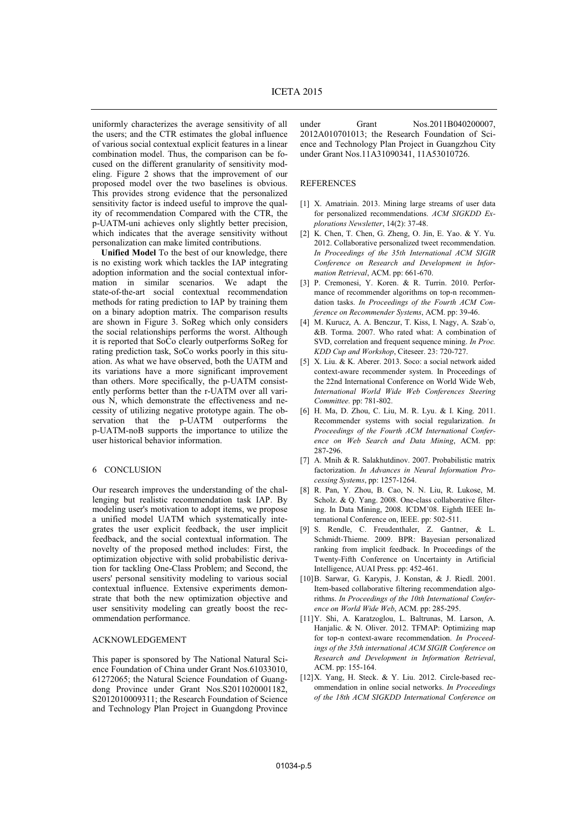uniformly characterizes the average sensitivity of all the users; and the CTR estimates the global influence of various social contextual explicit features in a linear combination model. Thus, the comparison can be focused on the different granularity of sensitivity modeling. Figure 2 shows that the improvement of our proposed model over the two baselines is obvious. This provides strong evidence that the personalized sensitivity factor is indeed useful to improve the quality of recommendation Compared with the CTR, the p-UATM-uni achieves only slightly better precision, which indicates that the average sensitivity without personalization can make limited contributions.

**Unified Model** To the best of our knowledge, there is no existing work which tackles the IAP integrating adoption information and the social contextual information in similar scenarios. We adapt the state-of-the-art social contextual recommendation methods for rating prediction to IAP by training them on a binary adoption matrix. The comparison results are shown in Figure 3. SoReg which only considers the social relationships performs the worst. Although it is reported that SoCo clearly outperforms SoReg for rating prediction task, SoCo works poorly in this situation. As what we have observed, both the UATM and its variations have a more significant improvement than others. More specifically, the p-UATM consistently performs better than the r-UATM over all various N, which demonstrate the effectiveness and necessity of utilizing negative prototype again. The observation that the p-UATM outperforms the p-UATM-noB supports the importance to utilize the user historical behavior information.

## 6 CONCLUSION

Our research improves the understanding of the challenging but realistic recommendation task IAP. By modeling user's motivation to adopt items, we propose a unified model UATM which systematically integrates the user explicit feedback, the user implicit feedback, and the social contextual information. The novelty of the proposed method includes: First, the optimization objective with solid probabilistic derivation for tackling One-Class Problem; and Second, the users' personal sensitivity modeling to various social contextual influence. Extensive experiments demonstrate that both the new optimization objective and user sensitivity modeling can greatly boost the recommendation performance.

#### ACKNOWLEDGEMENT

This paper is sponsored by The National Natural Science Foundation of China under Grant Nos.61033010, 61272065; the Natural Science Foundation of Guangdong Province under Grant Nos.S2011020001182, S2012010009311; the Research Foundation of Science and Technology Plan Project in Guangdong Province under Grant Nos.2011B040200007, 2012A010701013; the Research Foundation of Science and Technology Plan Project in Guangzhou City under Grant Nos.11A31090341, 11A53010726.

## **REFERENCES**

- [1] X. Amatriain. 2013. Mining large streams of user data for personalized recommendations. *ACM SIGKDD Explorations Newsletter*, 14(2): 37-48.
- [2] K. Chen, T. Chen, G. Zheng, O. Jin, E. Yao. & Y. Yu. 2012. Collaborative personalized tweet recommendation. *In Proceedings of the 35th International ACM SIGIR Conference on Research and Development in Information Retrieval*, ACM. pp: 661-670.
- [3] P. Cremonesi, Y. Koren. & R. Turrin. 2010. Performance of recommender algorithms on top-n recommendation tasks. *In Proceedings of the Fourth ACM Conference on Recommender Systems*, ACM. pp: 39-46.
- [4] M. Kurucz, A. A. Benczur, T. Kiss, I. Nagy, A. Szab´o, &B. Torma. 2007. Who rated what: A combination of SVD, correlation and frequent sequence mining. *In Proc. KDD Cup and Workshop*, Citeseer. 23: 720-727.
- [5] X. Liu. & K. Aberer. 2013. Soco: a social network aided context-aware recommender system. In Proceedings of the 22nd International Conference on World Wide Web, *International World Wide Web Conferences Steering Committee.* pp: 781-802.
- [6] H. Ma, D. Zhou, C. Liu, M. R. Lyu. & I. King. 2011. Recommender systems with social regularization. *In Proceedings of the Fourth ACM International Conference on Web Search and Data Mining*, ACM. pp: 287-296.
- [7] A. Mnih & R. Salakhutdinov. 2007. Probabilistic matrix factorization. *In Advances in Neural Information Processing Systems*, pp: 1257-1264.
- [8] R. Pan, Y. Zhou, B. Cao, N. N. Liu, R. Lukose, M. Scholz. & Q. Yang. 2008. One-class collaborative filtering. In Data Mining, 2008. ICDM'08. Eighth IEEE International Conference on, IEEE. pp: 502-511.
- [9] S. Rendle, C. Freudenthaler, Z. Gantner, & L. Schmidt-Thieme. 2009. BPR: Bayesian personalized ranking from implicit feedback. In Proceedings of the Twenty-Fifth Conference on Uncertainty in Artificial Intelligence, AUAI Press. pp: 452-461.
- [10]B. Sarwar, G. Karypis, J. Konstan, & J. Riedl. 2001. Item-based collaborative filtering recommendation algorithms. *In Proceedings of the 10th International Conference on World Wide Web*, ACM. pp: 285-295.
- [11]Y. Shi, A. Karatzoglou, L. Baltrunas, M. Larson, A. Hanjalic. & N. Oliver. 2012. TFMAP: Optimizing map for top-n context-aware recommendation. *In Proceedings of the 35th international ACM SIGIR Conference on Research and Development in Information Retrieval*, ACM. pp: 155-164.
- [12]X. Yang, H. Steck. & Y. Liu. 2012. Circle-based recommendation in online social networks. *In Proceedings of the 18th ACM SIGKDD International Conference on*